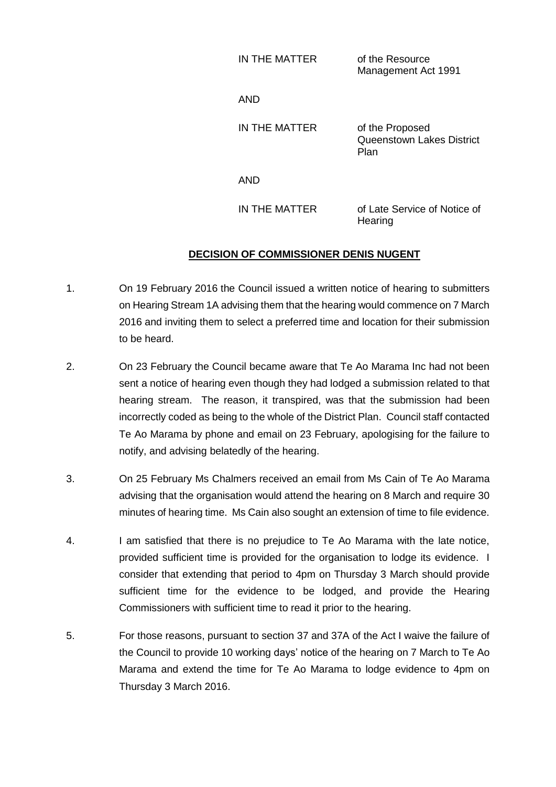| IN THE MATTER | of the Resource     |
|---------------|---------------------|
|               | Management Act 1991 |

AND

IN THE MATTER of the Proposed Queenstown Lakes District Plan

AND

IN THE MATTER of Late Service of Notice of **Hearing** 

## **DECISION OF COMMISSIONER DENIS NUGENT**

- 1. On 19 February 2016 the Council issued a written notice of hearing to submitters on Hearing Stream 1A advising them that the hearing would commence on 7 March 2016 and inviting them to select a preferred time and location for their submission to be heard.
- 2. On 23 February the Council became aware that Te Ao Marama Inc had not been sent a notice of hearing even though they had lodged a submission related to that hearing stream. The reason, it transpired, was that the submission had been incorrectly coded as being to the whole of the District Plan. Council staff contacted Te Ao Marama by phone and email on 23 February, apologising for the failure to notify, and advising belatedly of the hearing.
- 3. On 25 February Ms Chalmers received an email from Ms Cain of Te Ao Marama advising that the organisation would attend the hearing on 8 March and require 30 minutes of hearing time. Ms Cain also sought an extension of time to file evidence.
- 4. I am satisfied that there is no prejudice to Te Ao Marama with the late notice, provided sufficient time is provided for the organisation to lodge its evidence. I consider that extending that period to 4pm on Thursday 3 March should provide sufficient time for the evidence to be lodged, and provide the Hearing Commissioners with sufficient time to read it prior to the hearing.
- 5. For those reasons, pursuant to section 37 and 37A of the Act I waive the failure of the Council to provide 10 working days' notice of the hearing on 7 March to Te Ao Marama and extend the time for Te Ao Marama to lodge evidence to 4pm on Thursday 3 March 2016.